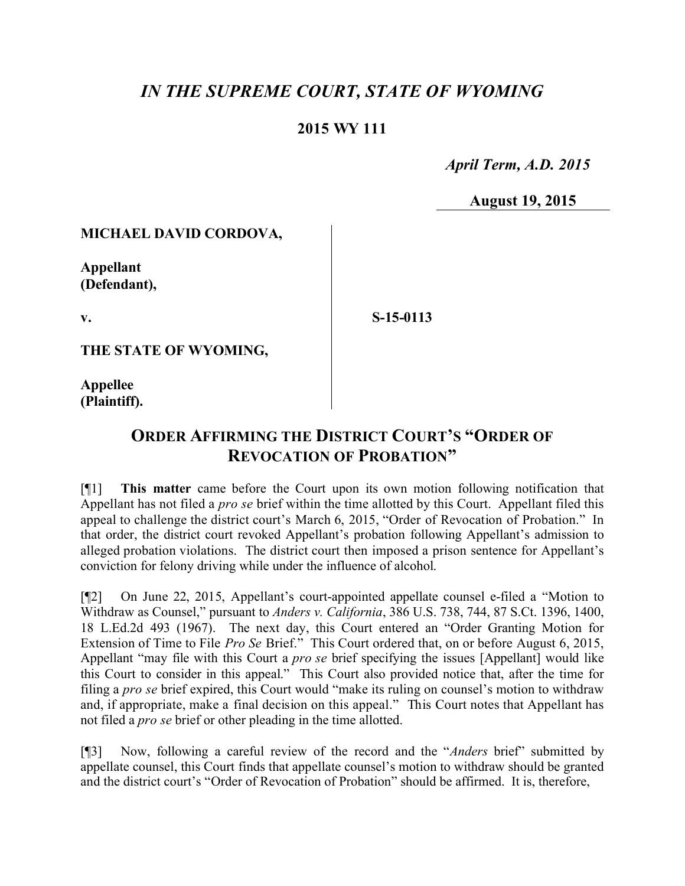# *IN THE SUPREME COURT, STATE OF WYOMING*

### **2015 WY 111**

 *April Term, A.D. 2015*

**August 19, 2015**

### **MICHAEL DAVID CORDOVA,**

**Appellant (Defendant),**

**v.**

**S-15-0113**

**THE STATE OF WYOMING,**

**Appellee (Plaintiff).**

# **ORDER AFFIRMING THE DISTRICT COURT'S "ORDER OF REVOCATION OF PROBATION"**

[¶1] **This matter** came before the Court upon its own motion following notification that Appellant has not filed a *pro se* brief within the time allotted by this Court. Appellant filed this appeal to challenge the district court's March 6, 2015, "Order of Revocation of Probation." In that order, the district court revoked Appellant's probation following Appellant's admission to alleged probation violations. The district court then imposed a prison sentence for Appellant's conviction for felony driving while under the influence of alcohol.

[¶2] On June 22, 2015, Appellant's court-appointed appellate counsel e-filed a "Motion to Withdraw as Counsel," pursuant to *Anders v. California*, 386 U.S. 738, 744, 87 S.Ct. 1396, 1400, 18 L.Ed.2d 493 (1967). The next day, this Court entered an "Order Granting Motion for Extension of Time to File *Pro Se* Brief." This Court ordered that, on or before August 6, 2015, Appellant "may file with this Court a *pro se* brief specifying the issues [Appellant] would like this Court to consider in this appeal." This Court also provided notice that, after the time for filing a *pro se* brief expired, this Court would "make its ruling on counsel's motion to withdraw and, if appropriate, make a final decision on this appeal." This Court notes that Appellant has not filed a *pro se* brief or other pleading in the time allotted.

[¶3] Now, following a careful review of the record and the "*Anders* brief" submitted by appellate counsel, this Court finds that appellate counsel's motion to withdraw should be granted and the district court's "Order of Revocation of Probation" should be affirmed. It is, therefore,